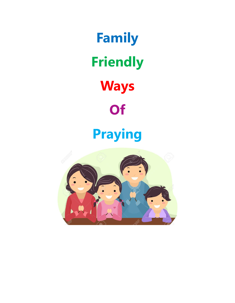**Family Friendly Ways Of** 

# **Praying**

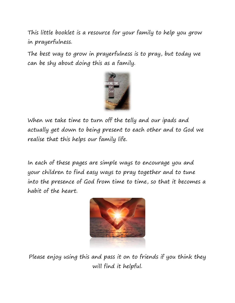This little booklet is a resource for your family to help you grow in prayerfulness.

The best way to grow in prayerfulness is to pray, but today we can be shy about doing this as a family.



When we take time to turn off the telly and our ipads and actually get down to being present to each other and to God we realise that this helps our family life.

In each of these pages are simple ways to encourage you and your children to find easy ways to pray together and to tune into the presence of God from time to time, so that it becomes a habit of the heart.



Please enjoy using this and pass it on to friends if you think they will find it helpful.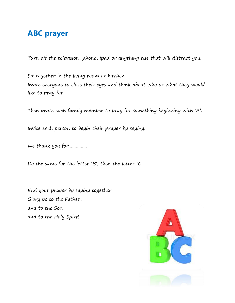#### **ABC prayer**

Turn off the television, phone, ipad or anything else that will distract you.

Sit together in the living room or kitchen. Invite everyone to close their eyes and think about who or what they would like to pray for.

Then invite each family member to pray for something beginning with 'A'.

Invite each person to begin their prayer by saying:

We thank you for……………

Do the same for the letter 'B', then the letter 'C'.

End your prayer by saying together Glory be to the Father, and to the Son and to the Holy Spirit.

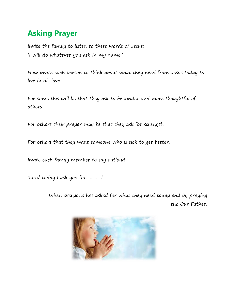# **Asking Prayer**

Invite the family to listen to these words of Jesus: 'I will do whatever you ask in my name.'

Now invite each person to think about what they need from Jesus today to live in his love………

For some this will be that they ask to be kinder and more thoughtful of others.

For others their prayer may be that they ask for strength.

For others that they want someone who is sick to get better.

Invite each family member to say outloud:

'Lord today I ask you for………….'

When everyone has asked for what they need today end by praying the Our Father.

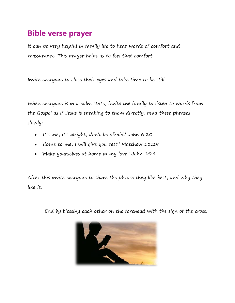#### **Bible verse prayer**

It can be very helpful in family life to hear words of comfort and reassurance. This prayer helps us to feel that comfort.

Invite everyone to close their eyes and take time to be still.

When everyone is in a calm state, invite the family to listen to words from the Gospel as if Jesus is speaking to them directly, read these phrases slowly:

- 'It's me, it's alright, don't be afraid.' John 6:20
- 'Come to me, I will give you rest.' Matthew 11:29
- 'Make yourselves at home in my love.' John 15:9

After this invite everyone to share the phrase they like best, and why they like it.

End by blessing each other on the forehead with the sign of the cross.

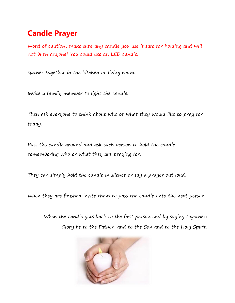# **Candle Prayer**

Word of caution, make sure any candle you use is safe for holding and will not burn anyone! You could use an LED candle.

Gather together in the kitchen or living room.

Invite a family member to light the candle.

Then ask everyone to think about who or what they would like to pray for today.

Pass the candle around and ask each person to hold the candle remembering who or what they are praying for.

They can simply hold the candle in silence or say a prayer out loud.

When they are finished invite them to pass the candle onto the next person.

When the candle gets back to the first person end by saying together: Glory be to the Father, and to the Son and to the Holy Spirit.

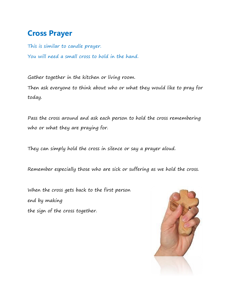# **Cross Prayer**

This is similar to candle prayer. You will need a small cross to hold in the hand.

Gather together in the kitchen or living room. Then ask everyone to think about who or what they would like to pray for today.

Pass the cross around and ask each person to hold the cross remembering who or what they are praying for.

They can simply hold the cross in silence or say a prayer aloud.

Remember especially those who are sick or suffering as we hold the cross.

When the cross gets back to the first person end by making the sign of the cross together.

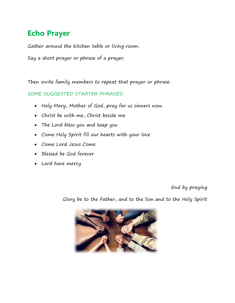# **Echo Prayer**

Gather around the kitchen table or living room.

Say a short prayer or phrase of a prayer.

Then invite family members to repeat that prayer or phrase.

SOME SUGGESTED STARTER PHRASES:

- Holy Mary, Mother of God, pray for us sinners now.
- Christ be with me, Christ beside me
- The Lord bless you and keep you
- Come Holy Spirit fill our hearts with your love
- Come Lord Jesus Come
- Blessed be God forever
- Lord have mercy

End by praying

Glory be to the Father, and to the Son and to the Holy Spirit

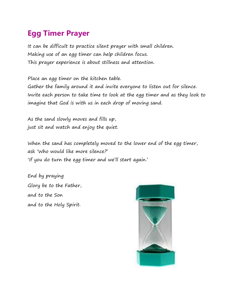# **Egg Timer Prayer**

It can be difficult to practice silent prayer with small children. Making use of an egg timer can help children focus. This prayer experience is about stillness and attention.

Place an egg timer on the kitchen table. Gather the family around it and invite everyone to listen out for silence. Invite each person to take time to look at the egg timer and as they look to imagine that God is with us in each drop of moving sand.

As the sand slowly moves and fills up, just sit and watch and enjoy the quiet.

When the sand has completely moved to the lower end of the egg timer, ask 'Who would like more silence?' 'If you do turn the egg timer and we'll start again.'

End by praying Glory be to the Father, and to the Son and to the Holy Spirit.

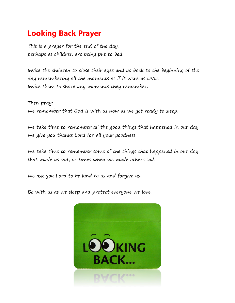# **Looking Back Prayer**

This is a prayer for the end of the day, perhaps as children are being put to bed.

Invite the children to close their eyes and go back to the beginning of the day remembering all the moments as if it were as DVD. Invite them to share any moments they remember.

Then pray: We remember that God is with us now as we get ready to sleep.

We take time to remember all the good things that happened in our day. We give you thanks Lord for all your goodness.

We take time to remember some of the things that happened in our day that made us sad, or times when we made others sad.

We ask you Lord to be kind to us and forgive us.

Be with us as we sleep and protect everyone we love.

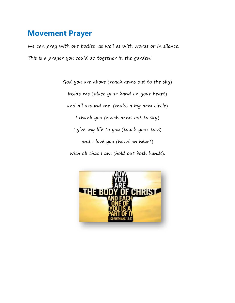#### **Movement Prayer**

We can pray with our bodies, as well as with words or in silence. This is a prayer you could do together in the garden!

> God you are above (reach arms out to the sky) Inside me (place your hand on your heart) and all around me. (make a big arm circle) I thank you (reach arms out to sky) I give my life to you (touch your toes) and I love you (hand on heart) with all that I am (hold out both hands).